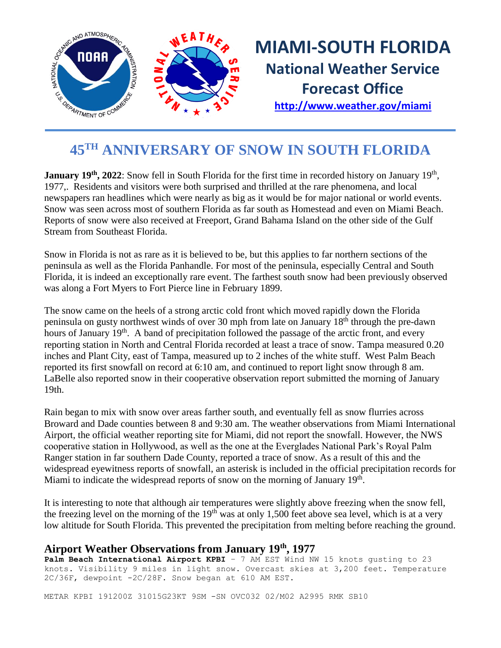

# **MIAMI-SOUTH FLORIDA National Weather Service Forecast Office**

**<http://www.weather.gov/miami>**

## **45TH ANNIVERSARY OF SNOW IN SOUTH FLORIDA**

January 19<sup>th</sup>, 2022: Snow fell in South Florida for the first time in recorded history on January 19<sup>th</sup>, 1977,. Residents and visitors were both surprised and thrilled at the rare phenomena, and local newspapers ran headlines which were nearly as big as it would be for major national or world events. Snow was seen across most of southern Florida as far south as Homestead and even on Miami Beach. Reports of snow were also received at Freeport, Grand Bahama Island on the other side of the Gulf Stream from Southeast Florida.

Snow in Florida is not as rare as it is believed to be, but this applies to far northern sections of the peninsula as well as the Florida Panhandle. For most of the peninsula, especially Central and South Florida, it is indeed an exceptionally rare event. The farthest south snow had been previously observed was along a Fort Myers to Fort Pierce line in February 1899.

The snow came on the heels of a strong arctic cold front which moved rapidly down the Florida peninsula on gusty northwest winds of over 30 mph from late on January 18th through the pre-dawn hours of January 19<sup>th</sup>. A band of precipitation followed the passage of the arctic front, and every reporting station in North and Central Florida recorded at least a trace of snow. Tampa measured 0.20 inches and Plant City, east of Tampa, measured up to 2 inches of the white stuff. West Palm Beach reported its first snowfall on record at 6:10 am, and continued to report light snow through 8 am. LaBelle also reported snow in their cooperative observation report submitted the morning of January 19th.

Rain began to mix with snow over areas farther south, and eventually fell as snow flurries across Broward and Dade counties between 8 and 9:30 am. The weather observations from Miami International Airport, the official weather reporting site for Miami, did not report the snowfall. However, the NWS cooperative station in Hollywood, as well as the one at the Everglades National Park's Royal Palm Ranger station in far southern Dade County, reported a trace of snow. As a result of this and the widespread eyewitness reports of snowfall, an asterisk is included in the official precipitation records for Miami to indicate the widespread reports of snow on the morning of January 19<sup>th</sup>.

It is interesting to note that although air temperatures were slightly above freezing when the snow fell, the freezing level on the morning of the  $19<sup>th</sup>$  was at only 1,500 feet above sea level, which is at a very low altitude for South Florida. This prevented the precipitation from melting before reaching the ground.

#### **Airport Weather Observations from January 19th, 1977**

Palm Beach International Airport KPBI - 7 AM EST Wind NW 15 knots gusting to 23 knots. Visibility 9 miles in light snow. Overcast skies at 3,200 feet. Temperature 2C/36F, dewpoint -2C/28F. Snow began at 610 AM EST.

METAR KPBI 191200Z 31015G23KT 9SM -SN OVC032 02/M02 A2995 RMK SB10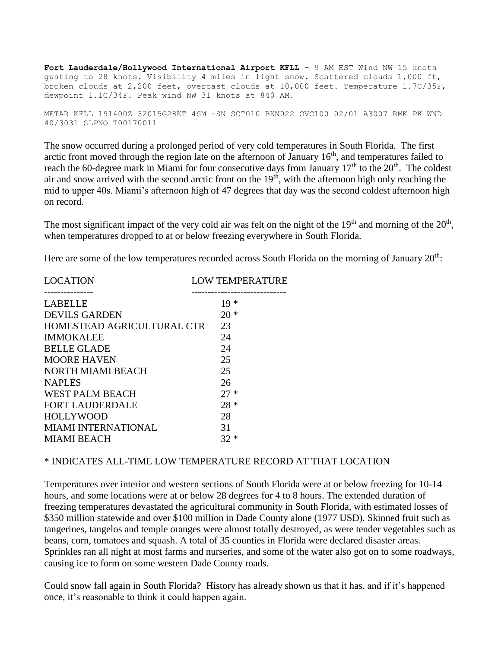**Fort Lauderdale/Hollywood International Airport KFLL** – 9 AM EST Wind NW 15 knots gusting to 28 knots. Visibility 4 miles in light snow. Scattered clouds 1,000 ft, broken clouds at 2,200 feet, overcast clouds at 10,000 feet. Temperature 1.7C/35F, dewpoint 1.1C/34F. Peak wind NW 31 knots at 840 AM.

METAR KFLL 191400Z 32015G28KT 4SM -SN SCT010 BKN022 OVC100 02/01 A3007 RMK PK WND 40/3031 SLPNO T00170011

The snow occurred during a prolonged period of very cold temperatures in South Florida. The first arctic front moved through the region late on the afternoon of January  $16<sup>th</sup>$ , and temperatures failed to reach the 60-degree mark in Miami for four consecutive days from January 17<sup>th</sup> to the 20<sup>th</sup>. The coldest air and snow arrived with the second arctic front on the  $19<sup>th</sup>$ , with the afternoon high only reaching the mid to upper 40s. Miami's afternoon high of 47 degrees that day was the second coldest afternoon high on record.

The most significant impact of the very cold air was felt on the night of the  $19<sup>th</sup>$  and morning of the  $20<sup>th</sup>$ , when temperatures dropped to at or below freezing everywhere in South Florida.

Here are some of the low temperatures recorded across South Florida on the morning of January  $20<sup>th</sup>$ :

| <b>LOW TEMPERATURE</b>           |
|----------------------------------|
| $19*$                            |
| $20*$                            |
| 23<br>HOMESTEAD AGRICULTURAL CTR |
| 24                               |
| 24                               |
| 25                               |
| 25                               |
| 26                               |
| $27*$                            |
| $28 *$                           |
| 28                               |
| 31                               |
| $32 *$                           |
|                                  |

#### \* INDICATES ALL-TIME LOW TEMPERATURE RECORD AT THAT LOCATION

Temperatures over interior and western sections of South Florida were at or below freezing for 10-14 hours, and some locations were at or below 28 degrees for 4 to 8 hours. The extended duration of freezing temperatures devastated the agricultural community in South Florida, with estimated losses of \$350 million statewide and over \$100 million in Dade County alone (1977 USD). Skinned fruit such as tangerines, tangelos and temple oranges were almost totally destroyed, as were tender vegetables such as beans, corn, tomatoes and squash. A total of 35 counties in Florida were declared disaster areas. Sprinkles ran all night at most farms and nurseries, and some of the water also got on to some roadways, causing ice to form on some western Dade County roads.

Could snow fall again in South Florida? History has already shown us that it has, and if it's happened once, it's reasonable to think it could happen again.